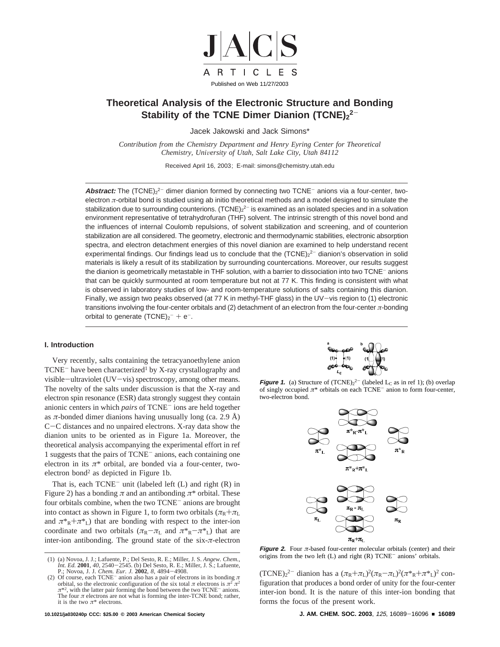

# **Theoretical Analysis of the Electronic Structure and Bonding** Stability of the TCNE Dimer Dianion (TCNE)<sub>2</sub><sup>2-</sup>

Jacek Jakowski and Jack Simons\*

*Contribution from the Chemistry Department and Henry Eyring Center for Theoretical Chemistry, University of Utah, Salt Lake City, Utah 84112* 

Received April 16, 2003; E-mail: simons@chemistry.utah.edu

Abstract: The (TCNE)<sub>2</sub><sup>2-</sup> dimer dianion formed by connecting two TCNE<sup>-</sup> anions via a four-center, twoelectron *π*-orbital bond is studied using ab initio theoretical methods and a model designed to simulate the stabilization due to surrounding counterions. (TCNE) $_2$ <sup>2–</sup> is examined as an isolated species and in a solvation environment representative of tetrahydrofuran (THF) solvent. The intrinsic strength of this novel bond and the influences of internal Coulomb repulsions, of solvent stabilization and screening, and of counterion stabilization are all considered. The geometry, electronic and thermodynamic stabilities, electronic absorption spectra, and electron detachment energies of this novel dianion are examined to help understand recent experimental findings. Our findings lead us to conclude that the  $(TCNE)_{2}^{2-}$  dianion's observation in solid materials is likely a result of its stabilization by surrounding countercations. Moreover, our results suggest the dianion is geometrically metastable in THF solution, with a barrier to dissociation into two TCNE- anions that can be quickly surmounted at room temperature but not at 77 K. This finding is consistent with what is observed in laboratory studies of low- and room-temperature solutions of salts containing this dianion. Finally, we assign two peaks observed (at 77 K in methyl-THF glass) in the UV-vis region to (1) electronic transitions involving the four-center orbitals and (2) detachment of an electron from the four-center *π*-bonding orbital to generate  $(TCNE)_2^- + e^-$ .

## **I. Introduction**

Very recently, salts containing the tetracyanoethylene anion  $TCNE<sup>-</sup>$  have been characterized<sup>1</sup> by X-ray crystallography and visible-ultraviolet (UV-vis) spectroscopy, among other means. The novelty of the salts under discussion is that the X-ray and electron spin resonance (ESR) data strongly suggest they contain anionic centers in which *pairs* of TCNE- ions are held together as  $\pi$ -bonded dimer dianions having unusually long (ca. 2.9 Å) <sup>C</sup>-C distances and no unpaired electrons. X-ray data show the dianion units to be oriented as in Figure 1a. Moreover, the theoretical analysis accompanying the experimental effort in ref 1 suggests that the pairs of TCNE- anions, each containing one electron in its  $\pi^*$  orbital, are bonded via a four-center, twoelectron bond2 as depicted in Figure 1b.

That is, each  $TCNE^-$  unit (labeled left  $(L)$  and right  $(R)$  in Figure 2) has a bonding  $\pi$  and an antibonding  $\pi^*$  orbital. These four orbitals combine, when the two TCNE- anions are brought into contact as shown in Figure 1, to form two orbitals ( $\pi_R + \pi_L$ ) and  $\pi^*R + \pi^*L$ ) that are bonding with respect to the inter-ion coordinate and two orbitals  $(\pi_R - \pi_L)$  and  $\pi^*R - \pi^*L$ ) that are inter-ion antibonding. The ground state of the  $s$ ix- $\pi$ -electron



**Figure 1.** (a) Structure of  $(TCNE)<sub>2</sub><sup>2</sup>$  (labeled  $L<sub>C</sub>$  as in ref 1); (b) overlap of singly occupied *π*\* orbitals on each TCNE- anion to form four-center, two-electron bond.



**Figure 2.** Four  $\pi$ -based four-center molecular orbitals (center) and their origins from the two left  $(L)$  and right  $(R)$  TCNE<sup>-</sup> anions' orbitals.

 $(TCNE)_2^2$  dianion has a  $(\pi_R + \pi_L)^2(\pi_R - \pi_L)^2(\pi^*R + \pi^*L)^2$  con-<br>figuration that produces a bond order of unity for the four-center figuration that produces a bond order of unity for the four-center inter-ion bond. It is the nature of this inter-ion bonding that forms the focus of the present work.

<sup>(1) (</sup>a) Novoa, J. J.; Lafuente, P.; Del Sesto, R. E.; Miller, J. S. *Angew. Chem., Int. Ed.* **2001**, 40, 2540–2545. (b) Del Sesto, R. E.; Miller, J. S.; Lafuente, <br>P.; Novoa, J. J. *Chem. Eur. J. 2002*, *8*, 4894–4908.<br>Of course, each TCNE<sup>-</sup> anion also has a pair of electrons in its bonding *π* 

<sup>(2)</sup> Of course, each TCNE<sup>-</sup> anion also has a pair of electrons in its bonding *π* orbital, so the electronic configuration of the six total *π* electrons is  $π² π²$  $\pi^{*2}$ , with the latter pair forming the bond between the two TCNE<sup>-</sup> anions. The four  $\pi$  electrons are not what is forming the inter-TCNE bond; rather, it is the two  $\pi^*$  electrons.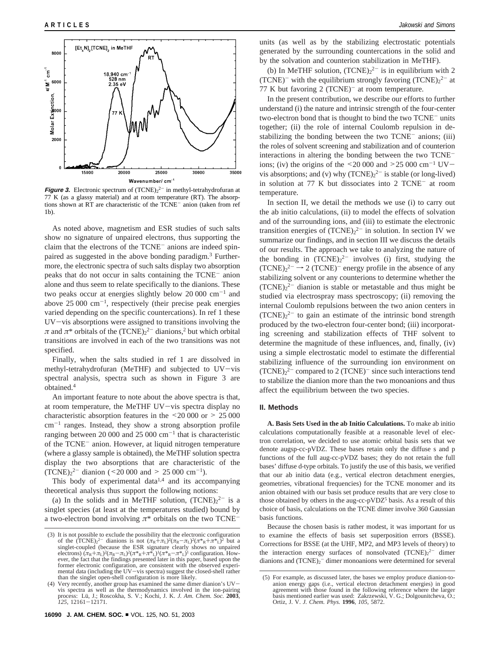

**Figure 3.** Electronic spectrum of  $(TCNE)<sub>2</sub><sup>2-</sup>$  in methyl-tetrahydrofuran at 77 K (as a glassy material) and at room temperature (RT). The absorptions shown at RT are characteristic of the TCNE- anion (taken from ref 1b).

As noted above, magnetism and ESR studies of such salts show no signature of unpaired electrons, thus supporting the claim that the electrons of the TCNE<sup>-</sup> anions are indeed spinpaired as suggested in the above bonding paradigm.3 Furthermore, the electronic spectra of such salts display two absorption peaks that do not occur in salts containing the TCNE- anion alone and thus seem to relate specifically to the dianions. These two peaks occur at energies slightly below 20 000  $cm^{-1}$  and above  $25\,000\,$  cm<sup>-1</sup>, respectively (their precise peak energies varied depending on the specific countercations). In ref 1 these UV-vis absorptions were assigned to transitions involving the  $\pi$  and  $\pi^*$  orbitals of the  $(TCNE)_2^2$ <sup>-</sup> dianions,<sup>2</sup> but which orbital transitions are involved in each of the two transitions was not specified.

Finally, when the salts studied in ref 1 are dissolved in methyl-tetrahydrofuran (MeTHF) and subjected to UV-vis spectral analysis, spectra such as shown in Figure 3 are obtained.4

An important feature to note about the above spectra is that, at room temperature, the MeTHF UV-vis spectra display no characteristic absorption features in the  $\leq 20000$  or  $\geq 25000$  $cm^{-1}$  ranges. Instead, they show a strong absorption profile ranging between 20 000 and 25 000  $\text{cm}^{-1}$  that is characteristic of the TCNE- anion. However, at liquid nitrogen temperature (where a glassy sample is obtained), the MeTHF solution spectra display the two absorptions that are characteristic of the  $(TCNE)_2^{2-}$  dianion (<20 000 and > 25 000 cm<sup>-1</sup>).<br>This hody of experimental data<sup>1,4</sup> and its acco

This body of experimental data $1,4$  and its accompanying theoretical analysis thus support the following notions:

(a) In the solids and in MeTHF solution,  $(TCNE)_{2}^{2-}$  is a singlet species (at least at the temperatures studied) bound by a two-electron bond involving *π*\* orbitals on the two TCNE-

units (as well as by the stabilizing electrostatic potentials generated by the surrounding countercations in the solid and by the solvation and counterion stabilization in MeTHF).

(b) In MeTHF solution,  $(TCNE)<sub>2</sub><sup>2-</sup>$  is in equilibrium with 2 (TCNE)<sup>-</sup> with the equilibrium strongly favoring  $(TCNE)<sub>2</sub><sup>2</sup>$  at 77 K but favoring  $2$  (TCNE)<sup>-</sup> at room temperature.

In the present contribution, we describe our efforts to further understand (i) the nature and intrinsic strength of the four-center two-electron bond that is thought to bind the two TCNE- units together; (ii) the role of internal Coulomb repulsion in destabilizing the bonding between the two TCNE<sup>-</sup> anions; (iii) the roles of solvent screening and stabilization and of counterion interactions in altering the bonding between the two TCNEions; (iv) the origins of the  $\leq$  20 000 and  $\geq$  25 000 cm<sup>-1</sup> UVvis absorptions; and (v) why  $(TCNE)_2^2$  is stable (or long-lived) in solution at 77 K but dissociates into 2 TCNE- at room temperature.

In section II, we detail the methods we use (i) to carry out the ab initio calculations, (ii) to model the effects of solvation and of the surrounding ions, and (iii) to estimate the electronic transition energies of  $(TCNE)<sub>2</sub><sup>2</sup>$  in solution. In section IV we summarize our findings, and in section III we discuss the details of our results. The approach we take to analyzing the nature of the bonding in  $(TCNE)<sub>2</sub><sup>2-</sup>$  involves (i) first, studying the  $(TCNE)<sup>2</sup> \rightarrow 2$  (TCNE)<sup>-</sup> energy profile in the absence of any stabilizing solvent or any counterions to determine whether the  $(TCNE)<sub>2</sub><sup>2-</sup>$  dianion is stable or metastable and thus might be studied via electrospray mass spectroscopy; (ii) removing the internal Coulomb repulsions between the two anion centers in  $(TCNE)<sub>2</sub><sup>2-</sup>$  to gain an estimate of the intrinsic bond strength produced by the two-electron four-center bond; (iii) incorporating screening and stabilization effects of THF solvent to determine the magnitude of these influences, and, finally, (iv) using a simple electrostatic model to estimate the differential stabilizing influence of the surrounding ion environment on  $(TCNE)<sub>2</sub><sup>2-</sup> compared to 2 (TCNE)<sup>-</sup> since such interactions tend$ to stabilize the dianion more than the two monoanions and thus affect the equilibrium between the two species.

### **II. Methods**

**A. Basis Sets Used in the ab Initio Calculations.** To make ab initio calculations computationally feasible at a reasonable level of electron correlation, we decided to use atomic orbital basis sets that we denote augsp-cc-pVDZ. These bases retain only the diffuse s and p functions of the full aug-cc-pVDZ bases; they do not retain the full bases' diffuse d-type orbitals. To justify the use of this basis, we verified that our ab initio data (e.g., vertical electron detachment energies, geometries, vibrational frequencies) for the TCNE monomer and its anion obtained with our basis set produce results that are very close to those obtained by others in the aug-cc-p $VDZ^5$  basis. As a result of this choice of basis, calculations on the TCNE dimer involve 360 Gaussian basis functions.

Because the chosen basis is rather modest, it was important for us to examine the effects of basis set superposition errors (BSSE). Corrections for BSSE (at the UHF, MP2, and MP3 levels of theory) to the interaction energy surfaces of nonsolvated  $(TCNE)<sub>2</sub><sup>2-</sup>$  dimer dianions and  $(TCNE)_2$ <sup>-</sup> dimer monoanions were determined for several

<sup>(3)</sup> It is not possible to exclude the possibility that the electronic configuration of the  $(TCNE)_2^2$  dianions is not  $(\pi_R + \pi_L)^2(\pi_R - \pi_L)^2(\pi^*R + \pi^*L)^2$  but a of the  $(TCNE)_2^{-2}$  dianions is not  $(\pi_R + \pi_L)^2(\pi_R - \pi_L)^2(\pi^*R + \pi^*L)^2$  but a singlet-coupled (because the ESR signature clearly shows no unpaired electrons)  $(\pi_R + \pi_L)^2(\pi^*R + \pi^*L)^2$  ( $\pi^*R + \pi^*L$ )  $l\pi^*R + \pi^*L$ ) ( $l\pi^*R + \$ former electronic configuration, are consistent with the observed experimental data (including the UV-vis spectra) suggest the closed-shell rather than the singlet open-shell configuration is more likely.

<sup>(4)</sup> Very recently, another group has examined the same dimer dianion's UVvis spectra as well as the thermodynamics involved in the ion-pairing process: Lu¨, J.; Roscokha, S. V.; Kochi, J. K. *J. Am. Chem. Soc.* **2003**, *<sup>125</sup>*, 12161-12171.

<sup>(5)</sup> For example, as discussed later, the bases we employ produce dianion-toanion energy gaps (i.e., vertical electron detachment energies) in good agreement with those found in the following reference where the larger basis mentioned earlier was used: Zakrzewski, V. G.; Dolgounitcheva, O.; Ortiz, J. V. *J. Chem. Phys.* **1996**, *105*, 5872.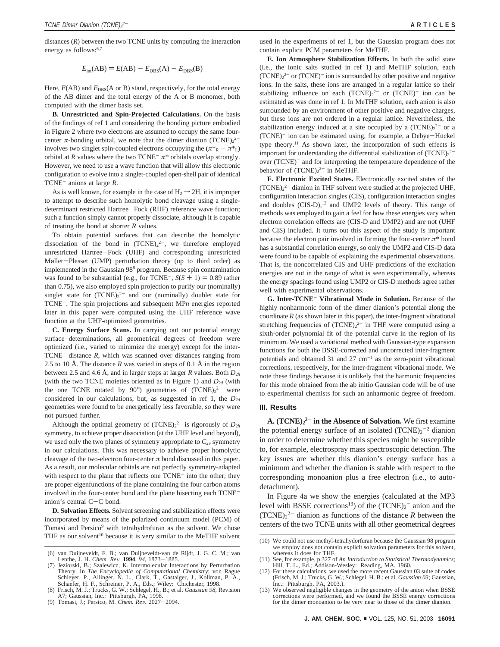distances (*R*) between the two TCNE units by computing the interaction energy as follows:<sup>6,7</sup>

$$
E_{\text{int}}(AB) = E(AB) - E_{\text{DBS}}(A) - E_{\text{DBS}}(B)
$$

Here,  $E(AB)$  and  $E_{\text{DBS}}(A \text{ or } B)$  stand, respectively, for the total energy of the AB dimer and the total energy of the A or B monomer, both computed with the dimer basis set.

**B. Unrestricted and Spin-Projected Calculations.** On the basis of the findings of ref 1 and considering the bonding picture embodied in Figure 2 where two electrons are assumed to occupy the same fourcenter  $\pi$ -bonding orbital, we note that the dimer dianion  $(TCNE)_{2}^{2-}$ involves two singlet spin-coupled electrons occupying the  $(\pi^*R + \pi^*L)$ orbital at *R* values where the two  $TCNE^{-} \pi^*$  orbitals overlap strongly. However, we need to use a wave function that will allow this electronic configuration to evolve into a singlet-coupled open-shell pair of identical TCNE- anions at large *R*.

As is well known, for example in the case of  $H_2 \rightarrow 2H$ , it is improper to attempt to describe such homolytic bond cleavage using a singledeterminant restricted Hartree-Fock (RHF) reference wave function; such a function simply cannot properly dissociate, although it is capable of treating the bond at shorter *R* values.

To obtain potential surfaces that can describe the homolytic dissociation of the bond in  $(TCNE)<sub>2</sub><sup>2</sup>$ , we therefore employed unrestricted Hartree-Fock (UHF) and corresponding unrestricted Møller-Plesset (UMP) perturbation theory (up to third order) as implemented in the Gaussian 988 program. Because spin contamination was found to be substantial (e.g., for TCNE<sup>-</sup>,  $S(S + 1) = 0.89$  rather than 0.75), we also employed spin projection to purify our (nominally) singlet state for  $(TCNE)<sub>2</sub><sup>2-</sup>$  and our (nominally) doublet state for TCNE-. The spin projections and subsequent MP*n* energies reported later in this paper were computed using the UHF reference wave function at the UHF-optimized geometries.

**C. Energy Surface Scans.** In carrying out our potential energy surface determinations, all geometrical degrees of freedom were optimized (i.e., varied to minimize the energy) except for the inter-TCNE- distance *R*, which was scanned over distances ranging from 2.5 to 10 Å. The distance *R* was varied in steps of 0.1 Å in the region between 2.5 and 4.6 Å, and in larger steps at larger *R* values. Both  $D_{2h}$ (with the two TCNE moieties oriented as in Figure 1) and  $D_{2d}$  (with the one TCNE rotated by 90°) geometries of  $(TCNE)<sub>2</sub><sup>2-</sup>$  were considered in our calculations, but, as suggested in ref 1, the  $D_{2d}$ geometries were found to be energetically less favorable, so they were not pursued further.

Although the optimal geometry of  $(TCNE)_{2}^{2-}$  is rigorously of  $D_{2h}$ symmetry, to achieve proper dissociation (at the UHF level and beyond), we used only the two planes of symmetry appropriate to  $C_{2v}$  symmetry in our calculations. This was necessary to achieve proper homolytic cleavage of the two-electron four-center  $\pi$  bond discussed in this paper. As a result, our molecular orbitals are not perfectly symmetry-adapted with respect to the plane that reflects one TCNE<sup>-</sup> into the other; they are proper eigenfunctions of the plane containing the four carbon atoms involved in the four-center bond and the plane bisecting each TCNEanion's central C-C bond.

**D. Solvation Effects.** Solvent screening and stabilization effects were incorporated by means of the polarized continuum model (PCM) of Tomasi and Persico<sup>9</sup> with tetrahydrofuran as the solvent. We chose THF as our solvent<sup>10</sup> because it is very similar to the MeTHF solvent

A7; Gaussian, Inc.: Pittsburgh, PA, 1998. (9) Tomasi, J.; Persico, M. *Chem. Re*V*.* <sup>2027</sup>-2094.

used in the experiments of ref 1, but the Gaussian program does not contain explicit PCM parameters for MeTHF.

**E. Ion Atmosphere Stabilization Effects.** In both the solid state (i.e., the ionic salts studied in ref 1) and MeTHF solution, each  $(TCNE)<sub>2</sub><sup>2-</sup>$  or  $(TCNE)<sup>-</sup>$  ion is surrounded by other positive and negative ions. In the salts, these ions are arranged in a regular lattice so their stabilizing influence on each  $(TCNE)<sub>2</sub><sup>2-</sup>$  or  $(TCNE)<sup>-</sup>$  ion can be estimated as was done in ref 1. In MeTHF solution, each anion is also surrounded by an environment of other positive and negative charges, but these ions are not ordered in a regular lattice. Nevertheless, the stabilization energy induced at a site occupied by a  $(TCNE)<sub>2</sub><sup>2-</sup>$  or a (TCNE)<sup>-</sup> ion can be estimated using, for example, a Debye-Hückel type theory.11 As shown later, the incorporation of such effects is important for understanding the differential stabilization of  $(TCNE)<sub>2</sub><sup>2</sup>$ over (TCNE)<sup>-</sup> and for interpreting the temperature dependence of the behavior of  $(TCNE)<sub>2</sub><sup>2-</sup>$  in MeTHF.

**F. Electronic Excited States.** Electronically excited states of the  $(TCNE)<sub>2</sub><sup>2-</sup>$  dianion in THF solvent were studied at the projected UHF, configuration interaction singles (CIS), configuration interaction singles and doubles  $(CIS-D)$ ,<sup>12</sup> and UMP2 levels of theory. This range of methods was employed to gain a feel for how these energies vary when electron correlation effects are (CIS-D and UMP2) and are not (UHF and CIS) included. It turns out this aspect of the study is important because the electron pair involved in forming the four-center  $\pi^*$  bond has a substantial correlation energy, so only the UMP2 and CIS-D data were found to be capable of explaining the experimental observations. That is, the noncorrelated CIS and UHF predictions of the excitation energies are not in the range of what is seen experimentally, whereas the energy spacings found using UMP2 or CIS-D methods agree rather well with experimental observations.

**G. Inter-TCNE**- **Vibrational Mode in Solution.** Because of the highly nonharmonic form of the dimer dianion's potential along the coordinate  $R$  (as shown later in this paper), the inter-fragment vibrational stretching frequencies of  $(TCNE)<sub>2</sub><sup>2-</sup>$  in THF were computed using a sixth-order polynomial fit of the potential curve in the region of its minimum. We used a variational method with Gaussian-type expansion functions for both the BSSE-corrected and uncorrected inter-fragment potentials and obtained 31 and 27  $cm^{-1}$  as the zero-point vibrational corrections, respectively, for the inter-fragment vibrational mode. We note these findings because it is unlikely that the harmonic frequencies for this mode obtained from the ab initio Gaussian code will be of use to experimental chemists for such an anharmonic degree of freedom.

### **III. Results**

**A. (TCNE)2 <sup>2</sup>**- **in the Absence of Solvation.** We first examine the potential energy surface of an isolated  $(TCNE)<sub>2</sub><sup>-2</sup>$  dianion in order to determine whether this species might be susceptible to, for example, electrospray mass spectroscopic detection. The key issues are whether this dianion's energy surface has a minimum and whether the dianion is stable with respect to the corresponding monoanion plus a free electron (i.e., to autodetachment).

In Figure 4a we show the energies (calculated at the MP3 level with BSSE corrections<sup>13</sup>) of the  $(TCNE)_2$ <sup>-</sup> anion and the  $(TCNE)<sub>2</sub><sup>2</sup>$  dianion as functions of the distance *R* between the centers of the two TCNE units with all other geometrical degrees

<sup>(6)</sup> van Duijneveldt, F. B.; van Duijneveldt-van de Rijdt, J. G. C. M.; van Lenthe, J. H. *Chem. Rev.* **1994**, 94, 1873–1885.<br>(7) Jeziorski, B.; Szalewicz, K. Intermolecular Interactions by Perturbation

Theory. In *The Encyclopedia of Computational Chemistry*; von Rague Schleyer, P., Allinger, N. L., Clark, T., Gastaiger, J., Kollman, P. A., Schaefer, H. F., Schreiner, P. A., Eds.; Wiley: Chichester, 1998.<br>(8) Frisch, M. J.; Trucks, G. W.; Schlegel, H., B.; et al. *Gaussian* 98, Revision

<sup>(10)</sup> We could not use methyl-tetrahydorfuran because the Gaussian 98 program we employ does not contain explicit solvation parameters for this solvent, whereas it does for THF.

<sup>(11)</sup> See, for example, p 327 of *An Introduction to Statistical Thermodynamics*;

Hill, T. L., Ed.; Addison-Wesley: Reading, MA, 1960. (12) For these calculations, we used the more recent Gaussian 03 suite of codes (Frisch, M. J.; Trucks, G. W.; Schlegel, H. B.; et al. *Gaussian 03*; Gaussian, Inc.: Pittsburgh, PA, 2003.).

<sup>(13)</sup> We observed negligible changes in the geometry of the anion when BSSE corrections were performed, and we found the BSSE energy corrections for the dimer monoanion to be very near to those of the dimer dianion.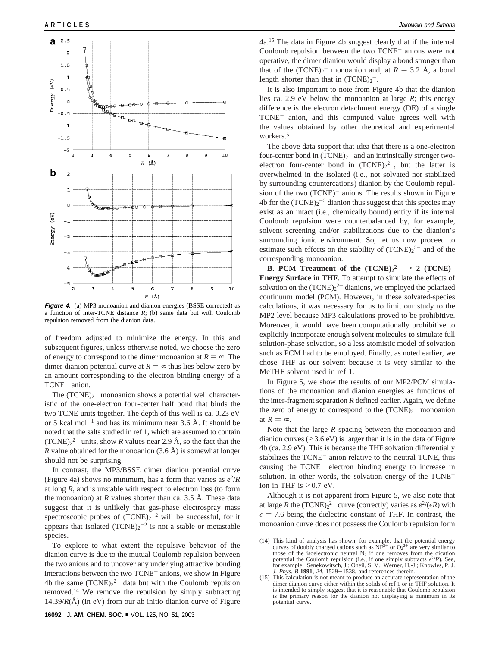

**Figure 4.** (a) MP3 monoanion and dianion energies (BSSE corrected) as a function of inter-TCNE distance *R*; (b) same data but with Coulomb repulsion removed from the dianion data.

of freedom adjusted to minimize the energy. In this and subsequent figures, unless otherwise noted, we choose the zero of energy to correspond to the dimer monoanion at  $R = \infty$ . The dimer dianion potential curve at  $R = \infty$  thus lies below zero by an amount corresponding to the electron binding energy of a TCNE<sup>-</sup> anion.

The  $(TCNE)_2$ <sup>-</sup> monoanion shows a potential well characteristic of the one-electron four-center half bond that binds the two TCNE units together. The depth of this well is ca. 0.23 eV or 5 kcal mol<sup>-1</sup> and has its minimum near 3.6 Å. It should be noted that the salts studied in ref 1, which are assumed to contain  $(TCNE)<sub>2</sub><sup>2</sup>$  units, show *R* values near 2.9 Å, so the fact that the *R* value obtained for the monoanion  $(3.6 \text{ Å})$  is somewhat longer should not be surprising.

In contrast, the MP3/BSSE dimer dianion potential curve (Figure 4a) shows no minimum, has a form that varies as  $e^2/R$ at long *R*, and is unstable with respect to electron loss (to form the monoanion) at  $R$  values shorter than ca. 3.5  $\AA$ . These data suggest that it is unlikely that gas-phase electrospray mass spectroscopic probes of  $(TCNE)_2^{-2}$  will be successful, for it appears that isolated  $(TCNE)_2^{-2}$  is not a stable or metastable species.

To explore to what extent the repulsive behavior of the dianion curve is due to the mutual Coulomb repulsion between the two anions and to uncover any underlying attractive bonding interactions between the two TCNE<sup>-</sup> anions, we show in Figure 4b the same  $(TCNE)<sub>2</sub><sup>2</sup>$  data but with the Coulomb repulsion removed.14 We remove the repulsion by simply subtracting 14.39/ $R(\text{\AA})$  (in eV) from our ab initio dianion curve of Figure

4a.15 The data in Figure 4b suggest clearly that if the internal Coulomb repulsion between the two TCNE- anions were not operative, the dimer dianion would display a bond stronger than that of the  $(TCNE)_2^-$  monoanion and, at  $R = 3.2$  Å, a bond<br>length shorter than that in  $(TCNE)_2^$ length shorter than that in  $(TCNE)_2^-$ .

It is also important to note from Figure 4b that the dianion lies ca. 2.9 eV below the monoanion at large *R*; this energy difference is the electron detachment energy (DE) of a single TCNE- anion, and this computed value agrees well with the values obtained by other theoretical and experimental workers.<sup>5</sup>

The above data support that idea that there is a one-electron four-center bond in  $(TCNE)_2$ <sup>-</sup> and an intrinsically stronger twoelectron four-center bond in  $(TCNE)<sub>2</sub><sup>2</sup>$ , but the latter is overwhelmed in the isolated (i.e., not solvated nor stabilized by surrounding countercations) dianion by the Coulomb repulsion of the two (TCNE)<sup>-</sup> anions. The results shown in Figure 4b for the  $(TCNE)_2^{-2}$  dianion thus suggest that this species may exist as an intact (i.e., chemically bound) entity if its internal Coulomb repulsion were counterbalanced by, for example, solvent screening and/or stabilizations due to the dianion's surrounding ionic environment. So, let us now proceed to estimate such effects on the stability of  $(TCNE)<sub>2</sub><sup>2-</sup>$  and of the corresponding monoanion.

**B. PCM Treatment of the**  $(TCNE)_{2}^{2-} \rightarrow 2 (TCNE)^{-}$ **Energy Surface in THF.** To attempt to simulate the effects of solvation on the  $(TCNE)<sub>2</sub><sup>2</sup>$  dianions, we employed the polarized continuum model (PCM). However, in these solvated-species calculations, it was necessary for us to limit our study to the MP2 level because MP3 calculations proved to be prohibitive. Moreover, it would have been computationally prohibitive to explicitly incorporate enough solvent molecules to simulate full solution-phase solvation, so a less atomistic model of solvation such as PCM had to be employed. Finally, as noted earlier, we chose THF as our solvent because it is very similar to the MeTHF solvent used in ref 1.

In Figure 5, we show the results of our MP2/PCM simulations of the monoanion and dianion energies as functions of the inter-fragment separation *R* defined earlier. Again, we define the zero of energy to correspond to the  $(TCNE)_2$ <sup>-</sup> monoanion at  $R = \infty$ .

Note that the large *R* spacing between the monoanion and dianion curves  $(>= 3.6 \text{ eV})$  is larger than it is in the data of Figure 4b (ca. 2.9 eV). This is because the THF solvation differentially stabilizes the TCNE- anion relative to the neutral TCNE, thus causing the TCNE- electron binding energy to increase in solution. In other words, the solvation energy of the TCNEion in THF is  $>0.7$  eV.

Although it is not apparent from Figure 5, we also note that at large *R* the  $(TCNE)_2^2$  curve (correctly) varies as  $e^2/(\epsilon R)$  with  $\epsilon = 7.6$  being the dielectric constant of THF. In contrast, the monoanion curve does not possess the Coulomb repulsion form

<sup>(14)</sup> This kind of analysis has shown, for example, that the potential energy curves of doubly charged cations such as  $NF^{2+}$  or  $O_2^{2+}$  are very similar to those of the isoelectronic neutral  $N_2$  if one removes from the dication potential the Coulomb repulsion (i.e., if one simply subtracts  $e^2/R$ ). See, for example: Senekowitsch, J.; Oneil, S. V.; Werner, H.-J.; Knowles, P. J. *J. Phys. B* **<sup>1991</sup>**, *<sup>24</sup>*, 1529-1538, and references therein.

<sup>(15)</sup> This calculation is not meant to produce an accurate representation of the dimer dianion curve either within the solids of ref 1 or in THF solution. It is intended to simply suggest that it is reasonable that Coulomb repulsion is the primary reason for the dianion not displaying a minimum in its potential curve.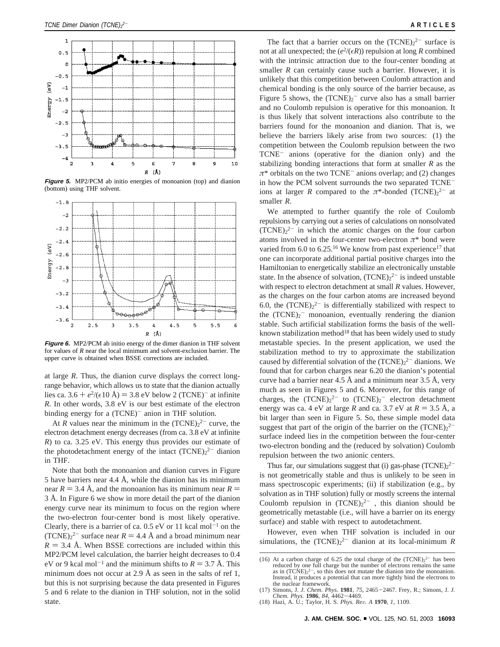

**Figure 5.** MP2/PCM ab initio energies of monoanion (top) and dianion (bottom) using THF solvent.



**Figure 6.** MP2/PCM ab initio energy of the dimer dianion in THF solvent for values of *R* near the local minimum and solvent-exclusion barrier. The upper curve is obtained when BSSE corrections are included.

at large *R*. Thus, the dianion curve displays the correct longrange behavior, which allows us to state that the dianion actually lies ca. 3.6 +  $e^{2}/(\epsilon 10 \text{ Å})$  = 3.8 eV below 2 (TCNE)<sup>-</sup> at infinite *R*. In other words, 3.8 eV is our best estimate of the electron binding energy for a (TCNE)<sup>-</sup> anion in THF solution.

At *R* values near the minimum in the  $(TCNE)<sub>2</sub><sup>2-</sup>$  curve, the electron detachment energy decreases (from ca. 3.8 eV at infinite *R*) to ca. 3.25 eV. This energy thus provides our estimate of the photodetachment energy of the intact  $(TCNE)<sub>2</sub><sup>2</sup>$  dianion in THF.

Note that both the monoanion and dianion curves in Figure 5 have barriers near 4.4 Å, while the dianion has its minimum near  $R = 3.4 \text{ Å}$ , and the monoanion has its minimum near  $R =$ 3 Å. In Figure 6 we show in more detail the part of the dianion energy curve near its minimum to focus on the region where the two-electron four-center bond is most likely operative. Clearly, there is a barrier of ca.  $0.5$  eV or 11 kcal mol<sup>-1</sup> on the (TCNE)<sub>2</sub><sup>2</sup> surface near  $R = 4.4 \text{ Å}$  and a broad minimum near  $R = 3.4 \text{ Å}$ . When BSSE corrections are included within this  $R = 3.4$  Å. When BSSE corrections are included within this MP2/PCM level calculation, the barrier height decreases to 0.4 eV or 9 kcal mol<sup>-1</sup> and the minimum shifts to  $R = 3.7$  Å. This minimum does not occur at 2.9 Å as seen in the salts of ref 1, but this is not surprising because the data presented in Figures 5 and 6 relate to the dianion in THF solution, not in the solid state.

The fact that a barrier occurs on the  $(TCNE)<sub>2</sub><sup>2-</sup>$  surface is not at all unexpected; the  $(e^2/(\epsilon R))$  repulsion at long *R* combined with the intrinsic attraction due to the four-center bonding at smaller *R* can certainly cause such a barrier. However, it is unlikely that this competition between Coulomb attraction and chemical bonding is the only source of the barrier because, as Figure 5 shows, the  $(TCNE)<sub>2</sub>$  curve also has a small barrier and no Coulomb repulsion is operative for this monoanion. It is thus likely that solvent interactions also contribute to the barriers found for the monoanion and dianion. That is, we believe the barriers likely arise from two sources: (1) the competition between the Coulomb repulsion between the two TCNE- anions (operative for the dianion only) and the stabilizing bonding interactions that form at smaller *R* as the  $\pi^*$  orbitals on the two TCNE<sup>-</sup> anions overlap; and (2) changes in how the PCM solvent surrounds the two separated TCNEions at larger *R* compared to the  $\pi$ \*-bonded (TCNE)<sub>2</sub><sup>2-</sup> at smaller *R*.

We attempted to further quantify the role of Coulomb repulsions by carrying out a series of calculations on nonsolvated  $(TCNE)<sub>2</sub><sup>2-</sup>$  in which the atomic charges on the four carbon atoms involved in the four-center two-electron  $\pi^*$  bond were varied from  $6.0$  to  $6.25$ .<sup>16</sup> We know from past experience<sup>17</sup> that one can incorporate additional partial positive charges into the Hamiltonian to energetically stabilize an electronically unstable state. In the absence of solvation,  $(TCNE)<sub>2</sub><sup>2</sup>$  is indeed unstable with respect to electron detachment at small *R* values. However, as the charges on the four carbon atoms are increased beyond 6.0, the  $(TCNE)<sub>2</sub><sup>2-</sup>$  is differentially stabilized with respect to the  $(TCNE)_2$ <sup>-</sup> monoanion, eventually rendering the dianion stable. Such artificial stabilization forms the basis of the wellknown stabilization method<sup>18</sup> that has been widely used to study metastable species. In the present application, we used the stabilization method to try to approximate the stabilization caused by differential solvation of the  $(TCNE)<sub>2</sub><sup>2</sup>$  dianions. We found that for carbon charges near 6.20 the dianion's potential curve had a barrier near 4.5 Å and a minimum near 3.5 Å, very much as seen in Figures 5 and 6. Moreover, for this range of charges, the  $(TCNE)<sub>2</sub><sup>2</sup>$  to  $(TCNE)<sub>2</sub><sup>-</sup>$  electron detachment energy was ca. 4 eV at large *R* and ca. 3.7 eV at  $R = 3.5 \text{ Å}$ , a bit larger than seen in Figure 5. So, these simple model data suggest that part of the origin of the barrier on the  $(TCNE)<sub>2</sub><sup>2</sup>$ surface indeed lies in the competition between the four-center two-electron bonding and the (reduced by solvation) Coulomb repulsion between the two anionic centers.

Thus far, our simulations suggest that (i) gas-phase  $(TCNE)<sub>2</sub><sup>2</sup>$ is not geometrically stable and thus is unlikely to be seen in mass spectroscopic experiments; (ii) if stabilization (e.g., by solvation as in THF solution) fully or mostly screens the internal Coulomb repulsion in  $(TCNE)<sub>2</sub><sup>2-</sup>$ , this dianion should be geometrically metastable (i.e., will have a barrier on its energy surface) and stable with respect to autodetachment.

However, even when THF solvation is included in our simulations, the  $(TCNE)_{2}^{2-}$  dianion at its local-minimum *R* 

<sup>(16)</sup> At a carbon charge of 6.25 the total charge of the  $(TCNE)<sub>2</sub><sup>2</sup>$  has been reduced by one full charge but the number of electrons remains the same as in  $(TCNE)<sub>2</sub><sup>2</sup>$ , so this does not mutate the dianion into the monoanion. Instead, it produces a potential that can more tightly bind the electrons to the nuclear framework.

Simons, J. *J. Chem. Phys.* **1981**, 75, 2465-2467. Frey, R.; Simons, J. *J. Chem. Phys.* **1986**, 84, 4462-4469. *Chem. Phys.* **<sup>1986</sup>**, *<sup>84</sup>*, 4462-4469. (18) Hazi, A. U.; Taylor, H. S. *Phys. Re*V*. A* **<sup>1970</sup>**, *<sup>1</sup>*, 1109.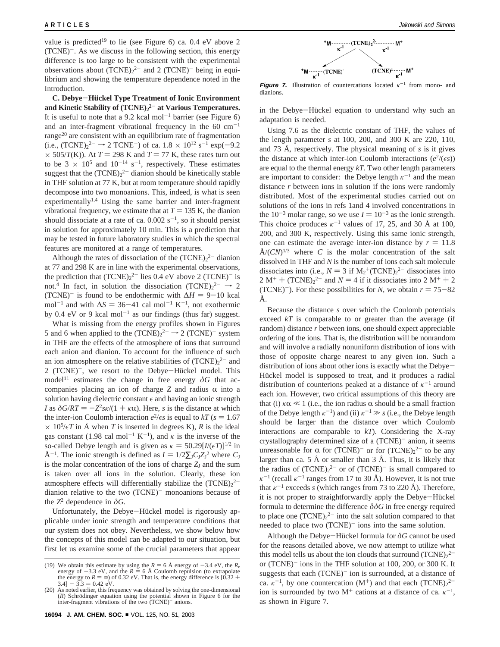value is predicted<sup>19</sup> to lie (see Figure 6) ca. 0.4 eV above 2 (TCNE)-. As we discuss in the following section, this energy difference is too large to be consistent with the experimental observations about  $(TCNE)<sub>2</sub><sup>2-</sup>$  and 2  $(TCNE)<sup>-</sup>$  being in equilibrium and showing the temperature dependence noted in the Introduction.

**C. Debye**-**Hu**1**ckel Type Treatment of Ionic Environment and Kinetic Stability of (TCNE)2 <sup>2</sup>**- **at Various Temperatures.** It is useful to note that a 9.2 kcal mol<sup>-1</sup> barrier (see Figure 6) and an inter-fragment vibrational frequency in the  $60 \text{ cm}^{-1}$ range $^{20}$  are consistent with an equilibrium rate of fragmentation (i.e.,  $(TCNE)_2^{2-} \rightarrow 2$  TCNE<sup>-</sup>) of ca.  $1.8 \times 10^{12}$  s<sup>-1</sup> exp(-9.2)<br> $\times$  505/*T*(K)) At *T* = 298 K and *T* = 77 K these rates turn out  $\times$  505/*T*(K)). At *T* = 298 K and *T* = 77 K, these rates turn out to be  $3 \times 10^5$  and  $10^{-14}$  s<sup>-1</sup>, respectively. These estimates suggest that the  $(TCNE)<sub>2</sub><sup>2</sup>$  dianion should be kinetically stable in THF solution at 77 K, but at room temperature should rapidly decompose into two monoanions. This, indeed, is what is seen experimentally<sup>1,4</sup> Using the same barrier and inter-fragment vibrational frequency, we estimate that at  $T = 135$  K, the dianion should dissociate at a rate of ca.  $0.002$  s<sup>-1</sup>, so it should persist in solution for approximately 10 min. This is a prediction that may be tested in future laboratory studies in which the spectral features are monitored at a range of temperatures.

Although the rates of dissociation of the  $(TCNE)<sub>2</sub><sup>2</sup>$  dianion at 77 and 298 K are in line with the experimental observations, the prediction that  $(TCNE)<sub>2</sub><sup>2</sup>$  lies 0.4 eV above 2  $(TCNE)<sup>-</sup>$  is not.<sup>4</sup> In fact, in solution the dissociation  $(TCNE)<sub>2</sub><sup>2-</sup> \rightarrow 2$ (TCNE)<sup>-</sup> is found to be endothermic with  $\Delta H = 9-10$  kcal mol<sup>-1</sup> and with  $\Delta S = 36-41$  cal mol<sup>-1</sup> K<sup>-1</sup>, not exothermic by 0.4 eV or 9 kcal mol<sup>-1</sup> as our findings (thus far) suggest.

What is missing from the energy profiles shown in Figures 5 and 6 when applied to the  $(TCNE)<sub>2</sub><sup>2-</sup> \rightarrow 2 (TCNE)<sup>-</sup>$  system in THF are the effects of the atmosphere of ions that surround each anion and dianion. To account for the influence of such an ion atmosphere on the relative stabilities of  $(TCNE)<sub>2</sub><sup>2</sup>$  and 2 (TCNE)<sup>-</sup>, we resort to the Debye-Hückel model. This model<sup>11</sup> estimates the change in free energy  $\delta G$  that accompanies placing an ion of charge  $Z$  and radius  $\alpha$  into a solution having dielectric constant  $\epsilon$  and having an ionic strength *I* as  $\delta G/RT = -Z^2 s \kappa/(1 + \kappa \alpha)$ . Here, *s* is the distance at which the inter-ion Coulomb interaction  $e^2/\epsilon s$  is equal to  $kT$  ( $s = 1.67$ )  $\times$  10<sup>5</sup>/ $\epsilon$ T in Å when T is inserted in degrees K), R is the ideal gas constant (1.98 cal mol<sup>-1</sup> K<sup>-1</sup>), and  $\kappa$  is the inverse of the so-called Debye length and is given as  $\kappa = 50.29$ [*I*/( $\epsilon$ *T*)]<sup>1/2</sup> in Å<sup>-1</sup>. The ionic strength is defined as  $I = 1/2\Sigma_{\text{J}}C_{\text{J}}Z_{\text{J}}^2$  where  $C_{\text{J}}$ <br>is the molar concentration of the ions of charge  $Z$ , and the sum is the molar concentration of the ions of charge  $Z_J$  and the sum is taken over all ions in the solution. Clearly, these ion atmosphere effects will differentially stabilize the  $(TCNE)<sub>2</sub><sup>2</sup>$ dianion relative to the two (TCNE)<sup>-</sup> monoanions because of the  $Z^2$  dependence in  $\delta G$ .

Unfortunately, the Debye-Hückel model is rigorously applicable under ionic strength and temperature conditions that our system does not obey. Nevertheless, we show below how the concepts of this model can be adapted to our situation, but first let us examine some of the crucial parameters that appear



**Figure 7.** Illustration of countercations located  $\kappa^{-1}$  from mono- and dianions.

in the Debye-Hückel equation to understand why such an adaptation is needed.

Using 7.6 as the dielectric constant of THF, the values of the length parameter *s* at 100, 200, and 300 K are 220, 110, and 73 Å, respectively. The physical meaning of *s* is it gives the distance at which inter-ion Coulomb interactions  $(e^2/(\epsilon s))$ are equal to the thermal energy *kT*. Two other length parameters are important to consider: the Debye length  $\kappa^{-1}$  and the mean distance *r* between ions in solution if the ions were randomly distributed. Most of the experimental studies carried out on solutions of the ions in refs 1and 4 involved concentrations in the  $10^{-3}$  molar range, so we use  $I = 10^{-3}$  as the ionic strength. This choice produces  $\kappa^{-1}$  values of 17, 25, and 30 Å at 100, 200, and 300 K, respectively. Using this same ionic strength, one can estimate the average inter-ion distance by  $r = 11.8$  $\rm \AA/(\mathbb{C}N)^{1/3}$  where *C* is the molar concentration of the salt dissolved in THF and *N* is the number of ions each salt molecule dissociates into (i.e.,  $N = 3$  if  $M_2^+(TCNE)_2^{2-}$  dissociates into  $2M^+ + (TCNE)_2^{2-}$  and  $N = 4$  if it dissociates into  $2M^+ + 2$  $2 M^+ + (TCNE)_2^2$  and  $N = 4$  if it dissociates into  $2 M^+ + 2$ <br>(TCNE)<sup>-</sup>). For these possibilities for N, we obtain  $r = 75-82$ (TCNE)<sup>-</sup>). For these possibilities for *N*, we obtain  $r = 75-82$ Å.

Because the distance *s* over which the Coulomb potentials exceed *kT* is comparable to or greater than the average (if random) distance *r* between ions, one should expect appreciable ordering of the ions. That is, the distribution will be nonrandom and will involve a radially nonuniform distribution of ions with those of opposite charge nearest to any given ion. Such a distribution of ions about other ions is exactly what the Debye-Hückel model is supposed to treat, and it produces a radial distribution of counterions peaked at a distance of  $\kappa^{-1}$  around each ion. However, two critical assumptions of this theory are that (i)  $\kappa \alpha \ll 1$  (i.e., the ion radius  $\alpha$  should be a small fraction of the Debye length  $\kappa^{-1}$ ) and (ii)  $\kappa^{-1} \gg s$  (i.e., the Debye length should be larger than the distance over which Coulomb interactions are comparable to *kT*). Considering the X-ray crystallography determined size of a (TCNE)<sup>-</sup> anion, it seems unreasonable for  $\alpha$  for (TCNE)<sup>-</sup> or for (TCNE)<sub>2</sub><sup>2-</sup> to be any<br>larger than  $\cos 5 \lambda$  or smaller than  $3 \lambda$ . Thus, it is likely that larger than ca. 5 Å or smaller than  $3 \text{ Å}$ . Thus, it is likely that the radius of  $(TCNE)<sup>2</sup>$  or of  $(TCNE)<sup>-</sup>$  is small compared to  $\kappa^{-1}$  (recall  $\kappa^{-1}$  ranges from 17 to 30 Å). However, it is not true that  $\kappa^{-1}$  exceeds *s* (which ranges from 73 to 220 Å). Therefore, it is not proper to straightforwardly apply the Debye-Hückel formula to determine the difference  $\delta \delta G$  in free energy required to place one  $(TCNE)<sub>2</sub><sup>2-</sup>$  into the salt solution compared to that needed to place two  $(TCNE)^-$  ions into the same solution.

Although the Debye-Hückel formula for  $\delta G$  cannot be used for the reasons detailed above, we now attempt to utilize what this model tells us about the ion clouds that surround  $(TCNE)_{2}^{2-}$ or (TCNE)- ions in the THF solution at 100, 200, or 300 K. It suggests that each  $(TCNE)^{-}$  ion is surrounded, at a distance of ca.  $\kappa^{-1}$ , by one countercation (M<sup>+</sup>) and that each (TCNE)<sub>2</sub><sup>2-</sup> ion is surrounded by two  $M^+$  cations at a distance of ca.  $\kappa^{-1}$ , as shown in Figure 7.

<sup>(19)</sup> We obtain this estimate by using the  $R = 6$  Å energy of  $-3.4$  eV, the  $R_e$  energy of  $-3.3$  eV, and the  $R = 6$  Å Coulomb repulsion (to extrapolate energy of  $-3.3$  eV, and the *R*  $= 6$  Å Coulomb repulsion (to extrapolate the energy to *R*  $= \infty$ ) of 0.32 eV. That is, the energy difference is [0.32 + 3.4]  $- 3.3 = 0.42$  eV.  $[3.4] - 3.3 = 0.42 \text{ eV}.$ 

<sup>(20)</sup> As noted earlier, this frequency was obtained by solving the one-dimensional  $(R)$  Schrödinger equation using the potential shown in Figure 6 for the inter-fragment vibrations of the two  $(TCNE)^-$  anions.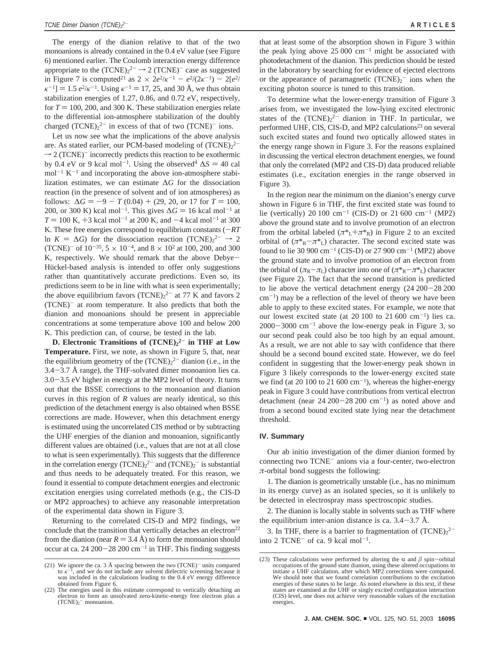The energy of the dianion relative to that of the two monoanions is already contained in the 0.4 eV value (see Figure 6) mentioned earlier. The Coulomb interaction energy difference appropriate to the  $(TCNE)<sub>2</sub><sup>2-</sup> \rightarrow 2 (TCNE)<sup>-</sup> case as suggested$ in Figure 7 is computed<sup>21</sup> as  $2 \times 2e^2/k^{-1} - e^2/(2k^{-1}) - 2[e^2/(2k^{-1})]$  $\kappa^{-1}$ ] = 1.5  $e^{2}/\kappa^{-1}$ . Using  $\kappa^{-1}$  = 17, 25, and 30 Å, we thus obtain stabilization energies of 1.27, 0.86, and 0.72 eV, respectively, for  $T = 100$ , 200, and 300 K. These stabilization energies relate to the differential ion-atmosphere stabilization of the doubly charged  $(TCNE)_{2}^{2-}$  in excess of that of two  $(TCNE)^{-}$  ions.

Let us now see what the implications of the above analysis are. As stated earlier, our PCM-based modeling of  $(TCNE)<sub>2</sub><sup>2</sup>$  $\rightarrow$  2 (TCNE)<sup>-</sup> incorrectly predicts this reaction to be exothermic by 0.4 eV or 9 kcal mol<sup>-1</sup>. Using the observed<sup>4</sup>  $\Delta S = 40$  cal  $mol^{-1} K^{-1}$  and incorporating the above ion-atmosphere stabilization estimates, we can estimate ∆*G* for the dissociation reaction (in the presence of solvent and of ion atmospheres) as follows:  $\Delta G = -9 - T (0.04) + (29, 20, \text{ or } 17 \text{ for } T = 100,$ 200, or 300 K) kcal mol<sup>-1</sup>. This gives  $\Delta G = 16$  kcal mol<sup>-1</sup> at  $T = 100$  K,  $+3$  kcal mol<sup>-1</sup> at 200 K, and  $-4$  kcal mol<sup>-1</sup> at 300 K. These free energies correspond to equilibrium constants  $(-RT)$ ln  $K = \Delta G$ ) for the dissociation reaction (TCNE)<sub>2</sub><sup>2-</sup> → 2<br>(TCNE)<sup>-</sup> of 10<sup>-35</sup> 5 × 10<sup>-4</sup> and 8 × 10<sup>2</sup> at 100–200 and 300 (TCNE)<sup>-</sup> of  $10^{-35}$ ,  $5 \times 10^{-4}$ , and  $8 \times 10^{2}$  at 100, 200, and 300 K, respectively. We should remark that the above Debye-Hückel-based analysis is intended to offer only suggestions rather than quantitatively accurate predictions. Even so, its predictions seem to be in line with what is seen experimentally; the above equilibrium favors  $(TCNE)<sub>2</sub><sup>2-</sup>$  at 77 K and favors 2 (TCNE)- at room temperature. It also predicts that both the dianion and monoanions should be present in appreciable concentrations at some temperature above 100 and below 200 K. This prediction can, of course, be tested in the lab.

**D. Electronic Transitions of (TCNE)2 <sup>2</sup>**- **in THF at Low Temperature.** First, we note, as shown in Figure 5, that, near the equilibrium geometry of the  $(TCNE)<sub>2</sub><sup>2</sup>$  dianion (i.e., in the 3.4-3.7 Å range), the THF-solvated dimer monoanion lies ca. 3.0-3.5 eV higher in energy at the MP2 level of theory. It turns out that the BSSE corrections to the monoanion and dianion curves in this region of *R* values are nearly identical, so this prediction of the detachment energy is also obtained when BSSE corrections are made. However, when this detachment energy is estimated using the uncorrelated CIS method or by subtracting the UHF energies of the dianion and monoanion, significantly different values are obtained (i.e., values that are not at all close to what is seen experimentally). This suggests that the difference in the correlation energy  $(TCNE)<sub>2</sub><sup>2-</sup>$  and  $(TCNE)<sub>2</sub><sup>-</sup>$  is substantial and thus needs to be adequately treated. For this reason, we found it essential to compute detachment energies and electronic excitation energies using correlated methods (e.g., the CIS-D or MP2 approaches) to achieve any reasonable interpretation of the experimental data shown in Figure 3.

Returning to the correlated CIS-D and MP2 findings, we conclude that the transition that vertically detaches an electron $22$ from the dianion (near  $R = 3.4 \text{ Å}$ ) to form the monoanion should occur at ca. 24 200 $-28$  200 cm<sup>-1</sup> in THF. This finding suggests

that at least some of the absorption shown in Figure 3 within the peak lying above  $25\,000\,$  cm<sup>-1</sup> might be associated with photodetachment of the dianion. This prediction should be tested in the laboratory by searching for evidence of ejected electrons or the appearance of paramagnetic  $(TCNE)_2$ <sup>-</sup> ions when the exciting photon source is tuned to this transition.

To determine what the lower-energy transition of Figure 3 arises from, we investigated the low-lying excited electronic states of the  $(TCNE)<sub>2</sub><sup>2</sup>$  dianion in THF. In particular, we performed UHF, CIS, CIS-D, and MP2 calculations<sup>23</sup> on several such excited states and found two optically allowed states in the energy range shown in Figure 3. For the reasons explained in discussing the vertical electron detachment energies, we found that only the correlated (MP2 and CIS-D) data produced reliable estimates (i.e., excitation energies in the range observed in Figure 3).

In the region near the minimum on the dianion's energy curve shown in Figure 6 in THF, the first excited state was found to lie (vertically) 20 100 cm<sup>-1</sup> (CIS-D) or 21 600 cm<sup>-1</sup> (MP2) above the ground state and to involve promotion of an electron from the orbital labeled  $(\pi^*L + \pi^*R)$  in Figure 2 to an excited orbital of  $(\pi^*_{R} - \pi^*_{L})$  character. The second excited state was found to lie 30 900  $cm^{-1}$  (CIS-D) or 27 900  $cm^{-1}$  (MP2) above the ground state and to involve promotion of an electron from the orbital of ( $\pi_R - \pi_L$ ) character into one of ( $\pi^*_{R} - \pi^*_{L}$ ) character (see Figure 2). The fact that the second transition is predicted to lie above the vertical detachment energy (24 200-28 200  $cm^{-1}$ ) may be a reflection of the level of theory we have been able to apply to these excited states. For example, we note that our lowest excited state (at 20 100 to 21 600 cm<sup>-1</sup>) lies ca.  $2000-3000$  cm<sup>-1</sup> above the low-energy peak in Figure 3, so our second peak could also be too high by an equal amount. As a result, we are not able to say with confidence that there should be a second bound excited state. However, we do feel confident in suggesting that the lower-energy peak shown in Figure 3 likely corresponds to the lower-energy excited state we find (at 20 100 to 21 600  $\text{cm}^{-1}$ ), whereas the higher-energy peak in Figure 3 could have contributions from vertical electron detachment (near  $24\ 200-28\ 200\ \text{cm}^{-1}$ ) as noted above and from a second bound excited state lying near the detachment threshold.

### **IV. Summary**

Our ab initio investigation of the dimer dianion formed by connecting two TCNE- anions via a four-center, two-electron *π*-orbital bond suggests the following:

1. The dianion is geometrically unstable (i.e., has no minimum in its energy curve) as an isolated species, so it is unlikely to be detected in electrospray mass spectroscopic studies.

2. The dianion is locally stable in solvents such as THF where the equilibrium inter-anion distance is ca.  $3.4 - 3.7$  Å.

3. In THF, there is a barrier to fragmentation of  $(TCNE)<sub>2</sub><sup>2</sup>$ into 2 TCNE<sup> $-$ </sup> of ca. 9 kcal mol<sup> $-1$ </sup>.

<sup>(21)</sup> We ignore the ca. 3 Å spacing between the two (TCNE)<sup>-</sup> units compared to  $\kappa^{-1}$ , and we do not include any solvent dielectric screening because it was included in the calculations leading to the 0.4 eV energy difference obtained from Figure 6.

<sup>(22)</sup> The energies used in this estimate correspond to vertically detaching an electron to form an unsolvated zero-kinetic-energy free electron plus a  $(TCNE)<sub>2</sub>$ <sup>-</sup> monoanion.

<sup>(23)</sup> These calculations were performed by altering the  $\alpha$  and  $\beta$  spin-orbital occupations of the ground state dianion, using these altered occupations to initiate a UHF calculation, after which MP2 corrections were computed. We should note that we found correlation contributions to the excitation energies of these states to be large. As noted elsewhere in this text, if these states are examined at the UHF or singly excited configuration interaction (CIS) level, one does not achieve very reasonable values of the excitation energies.